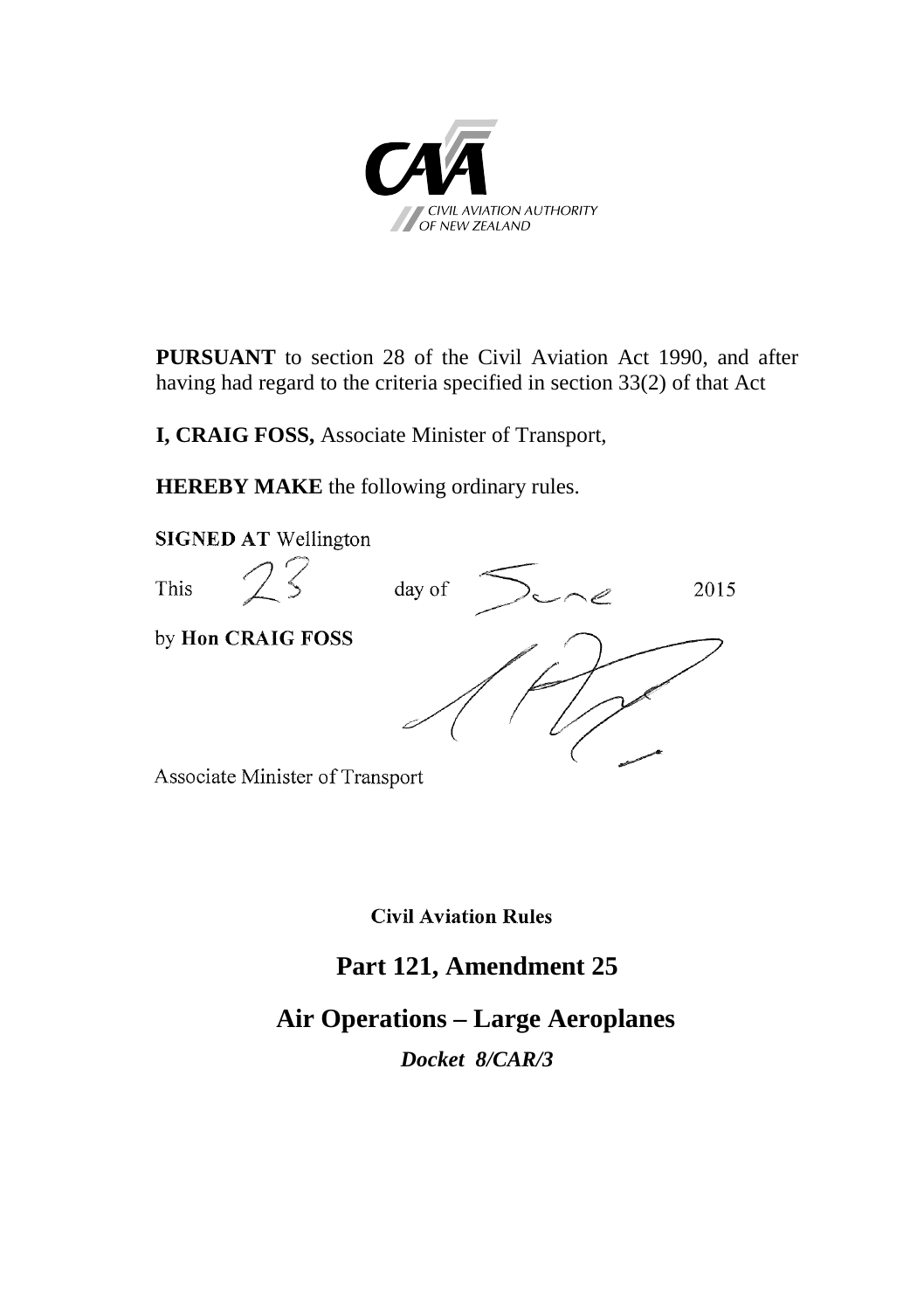

**PURSUANT** to section 28 of the Civil Aviation Act 1990, and after having had regard to the criteria specified in section 33(2) of that Act

**I, CRAIG FOSS,** Associate Minister of Transport,

**HEREBY MAKE** the following ordinary rules.



Associate Minister of Transport

**Civil Aviation Rules** 

## **Part 121, Amendment 25**

#### **Air Operations – Large Aeroplanes**

*Docket 8/CAR/3*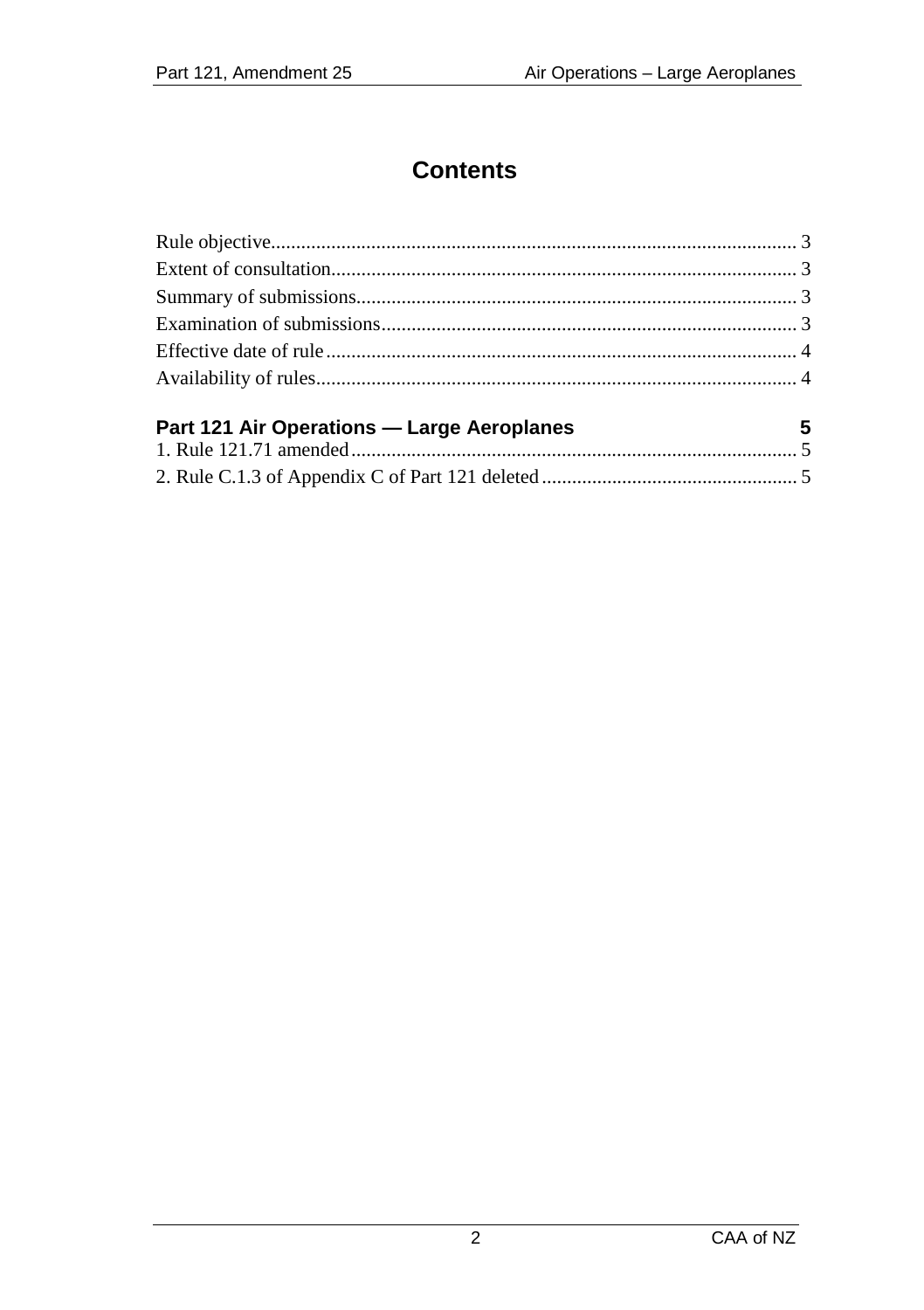## **Contents**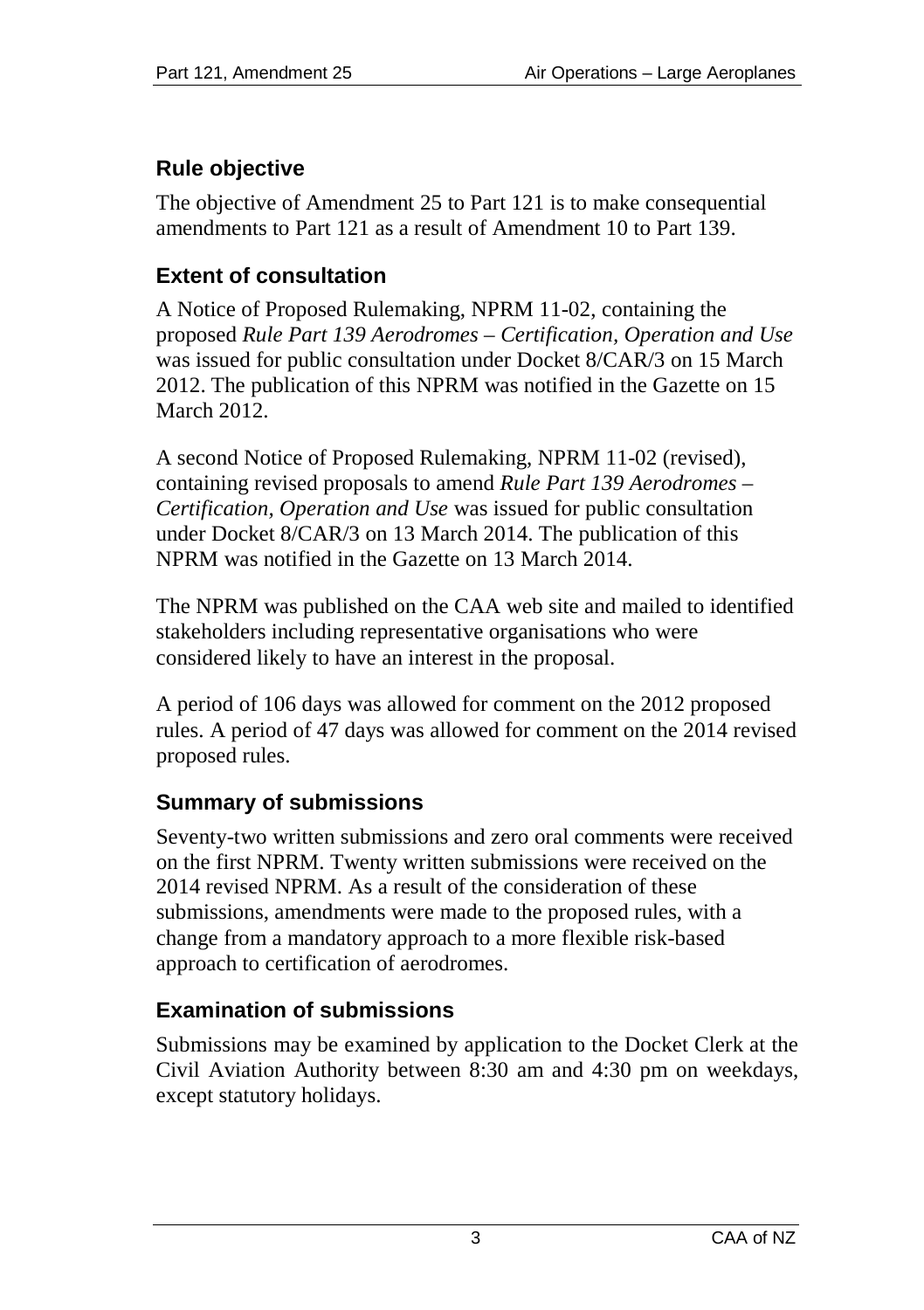### <span id="page-2-0"></span>**Rule objective**

The objective of Amendment 25 to Part 121 is to make consequential amendments to Part 121 as a result of Amendment 10 to Part 139.

#### <span id="page-2-1"></span>**Extent of consultation**

A Notice of Proposed Rulemaking, NPRM 11-02, containing the proposed *Rule Part 139 Aerodromes – Certification, Operation and Use* was issued for public consultation under Docket 8/CAR/3 on 15 March 2012. The publication of this NPRM was notified in the Gazette on 15 March 2012

A second Notice of Proposed Rulemaking, NPRM 11-02 (revised), containing revised proposals to amend *Rule Part 139 Aerodromes – Certification, Operation and Use* was issued for public consultation under Docket 8/CAR/3 on 13 March 2014. The publication of this NPRM was notified in the Gazette on 13 March 2014.

The NPRM was published on the CAA web site and mailed to identified stakeholders including representative organisations who were considered likely to have an interest in the proposal.

A period of 106 days was allowed for comment on the 2012 proposed rules. A period of 47 days was allowed for comment on the 2014 revised proposed rules.

#### <span id="page-2-2"></span>**Summary of submissions**

Seventy-two written submissions and zero oral comments were received on the first NPRM. Twenty written submissions were received on the 2014 revised NPRM. As a result of the consideration of these submissions, amendments were made to the proposed rules, with a change from a mandatory approach to a more flexible risk-based approach to certification of aerodromes.

#### <span id="page-2-3"></span>**Examination of submissions**

Submissions may be examined by application to the Docket Clerk at the Civil Aviation Authority between 8:30 am and 4:30 pm on weekdays, except statutory holidays.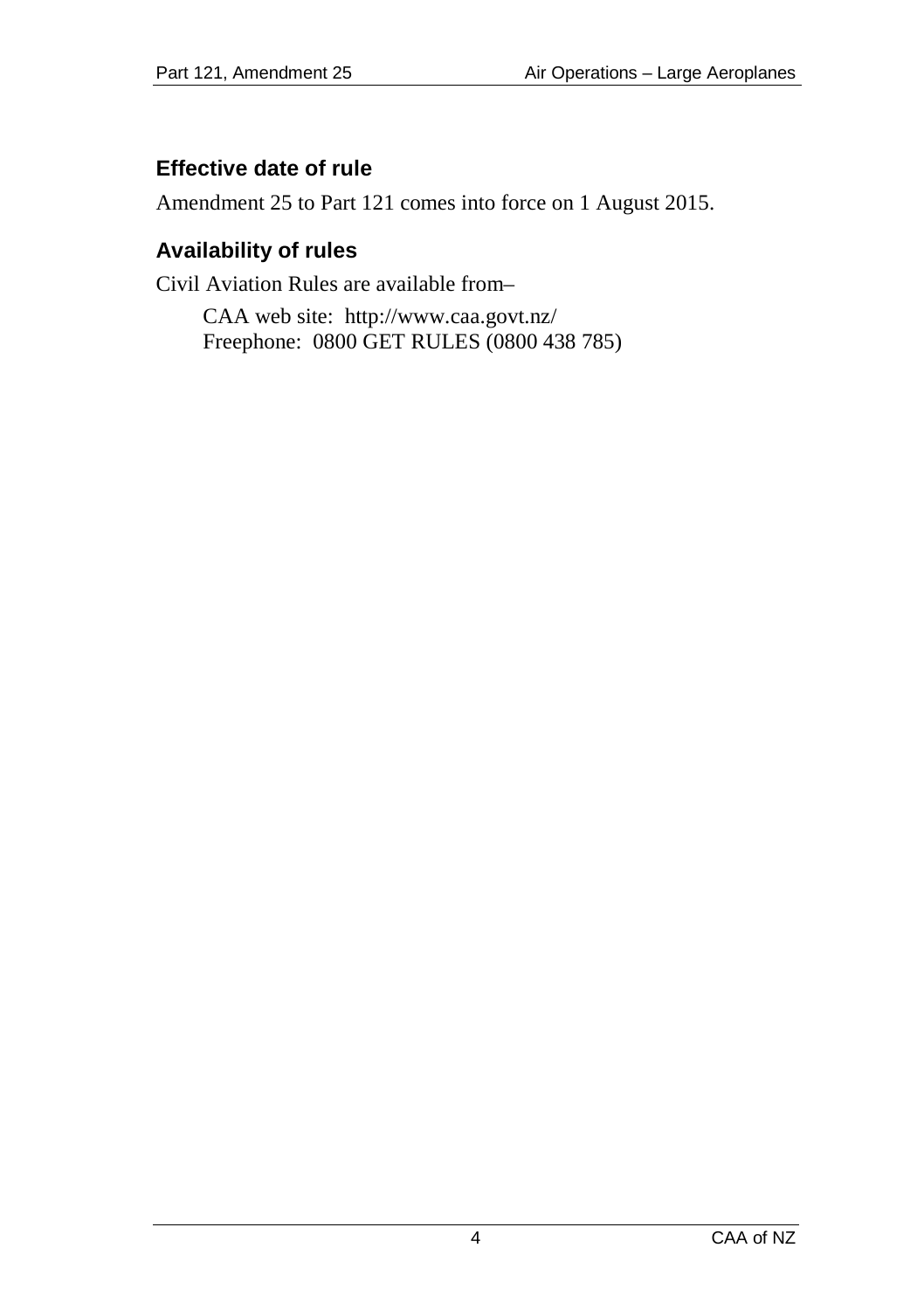#### <span id="page-3-0"></span>**Effective date of rule**

Amendment 25 to Part 121 comes into force on 1 August 2015.

#### <span id="page-3-1"></span>**Availability of rules**

Civil Aviation Rules are available from–

CAA web site:<http://www.caa.govt.nz/> Freephone: 0800 GET RULES (0800 438 785)